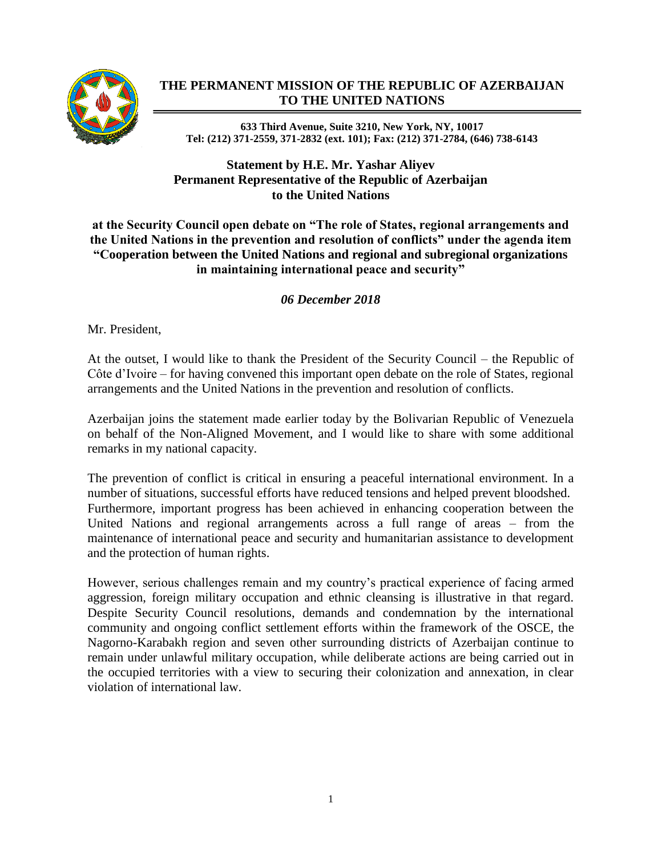

## **THE PERMANENT MISSION OF THE REPUBLIC OF AZERBAIJAN TO THE UNITED NATIONS**

**633 Third Avenue, Suite 3210, New York, NY, 10017 Tel: (212) 371-2559, 371-2832 (ext. 101); Fax: (212) 371-2784, (646) 738-6143**

## **Statement by H.E. Mr. Yashar Aliyev Permanent Representative of the Republic of Azerbaijan to the United Nations**

**at the Security Council open debate on "The role of States, regional arrangements and the United Nations in the prevention and resolution of conflicts" under the agenda item "Cooperation between the United Nations and regional and subregional organizations in maintaining international peace and security"** 

## *06 December 2018*

Mr. President,

At the outset, I would like to thank the President of the Security Council – the Republic of Côte d'Ivoire – for having convened this important open debate on the role of States, regional arrangements and the United Nations in the prevention and resolution of conflicts.

Azerbaijan joins the statement made earlier today by the Bolivarian Republic of Venezuela on behalf of the Non-Aligned Movement, and I would like to share with some additional remarks in my national capacity.

The prevention of conflict is critical in ensuring a peaceful international environment. In a number of situations, successful efforts have reduced tensions and helped prevent bloodshed. Furthermore, important progress has been achieved in enhancing cooperation between the United Nations and regional arrangements across a full range of areas – from the maintenance of international peace and security and humanitarian assistance to development and the protection of human rights.

However, serious challenges remain and my country's practical experience of facing armed aggression, foreign military occupation and ethnic cleansing is illustrative in that regard. Despite Security Council resolutions, demands and condemnation by the international community and ongoing conflict settlement efforts within the framework of the OSCE, the Nagorno-Karabakh region and seven other surrounding districts of Azerbaijan continue to remain under unlawful military occupation, while deliberate actions are being carried out in the occupied territories with a view to securing their colonization and annexation, in clear violation of international law.